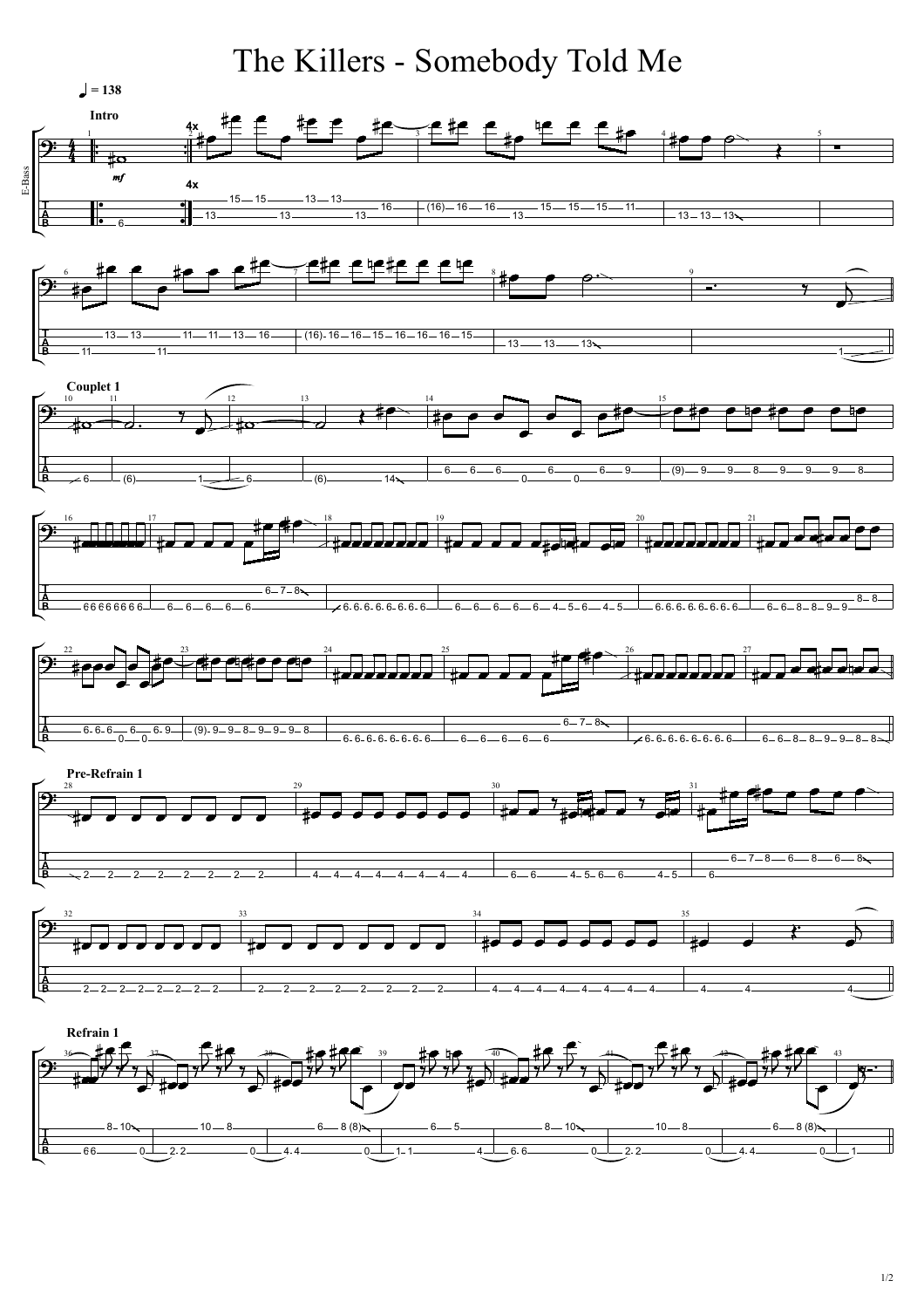

1/2